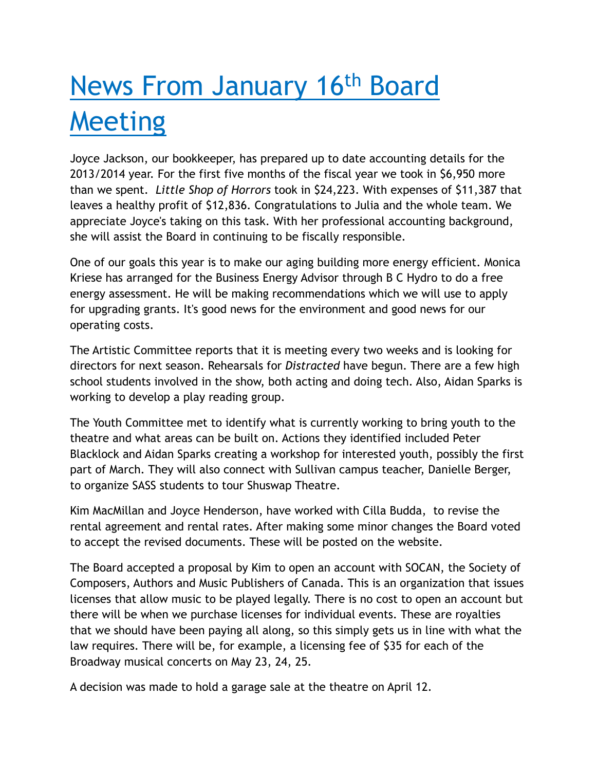## News From January 16th Board Meeting

Joyce Jackson, our bookkeeper, has prepared up to date accounting details for the 2013/2014 year. For the first five months of the fiscal year we took in \$6,950 more than we spent. *Little Shop of Horrors* took in \$24,223. With expenses of \$11,387 that leaves a healthy profit of \$12,836. Congratulations to Julia and the whole team. We appreciate Joyce's taking on this task. With her professional accounting background, she will assist the Board in continuing to be fiscally responsible.

One of our goals this year is to make our aging building more energy efficient. Monica Kriese has arranged for the Business Energy Advisor through B C Hydro to do a free energy assessment. He will be making recommendations which we will use to apply for upgrading grants. It's good news for the environment and good news for our operating costs.

The Artistic Committee reports that it is meeting every two weeks and is looking for directors for next season. Rehearsals for *Distracted* have begun. There are a few high school students involved in the show, both acting and doing tech. Also, Aidan Sparks is working to develop a play reading group.

The Youth Committee met to identify what is currently working to bring youth to the theatre and what areas can be built on. Actions they identified included Peter Blacklock and Aidan Sparks creating a workshop for interested youth, possibly the first part of March. They will also connect with Sullivan campus teacher, Danielle Berger, to organize SASS students to tour Shuswap Theatre.

Kim MacMillan and Joyce Henderson, have worked with Cilla Budda, to revise the rental agreement and rental rates. After making some minor changes the Board voted to accept the revised documents. These will be posted on the website.

The Board accepted a proposal by Kim to open an account with SOCAN, the Society of Composers, Authors and Music Publishers of Canada. This is an organization that issues licenses that allow music to be played legally. There is no cost to open an account but there will be when we purchase licenses for individual events. These are royalties that we should have been paying all along, so this simply gets us in line with what the law requires. There will be, for example, a licensing fee of \$35 for each of the Broadway musical concerts on May 23, 24, 25.

A decision was made to hold a garage sale at the theatre on April 12.